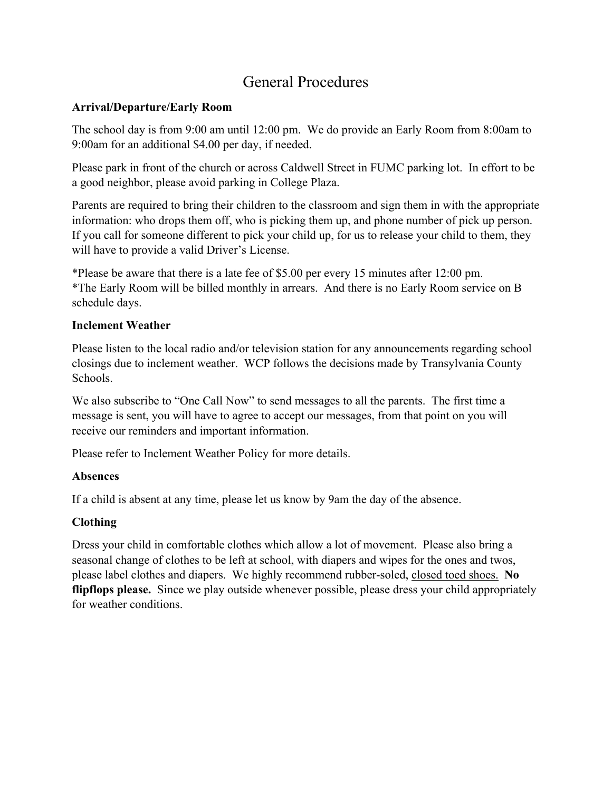# General Procedures

# **Arrival/Departure/Early Room**

The school day is from 9:00 am until 12:00 pm. We do provide an Early Room from 8:00am to 9:00am for an additional \$4.00 per day, if needed.

Please park in front of the church or across Caldwell Street in FUMC parking lot. In effort to be a good neighbor, please avoid parking in College Plaza.

Parents are required to bring their children to the classroom and sign them in with the appropriate information: who drops them off, who is picking them up, and phone number of pick up person. If you call for someone different to pick your child up, for us to release your child to them, they will have to provide a valid Driver's License.

\*Please be aware that there is a late fee of \$5.00 per every 15 minutes after 12:00 pm. \*The Early Room will be billed monthly in arrears. And there is no Early Room service on B schedule days.

# **Inclement Weather**

Please listen to the local radio and/or television station for any announcements regarding school closings due to inclement weather. WCP follows the decisions made by Transylvania County Schools.

We also subscribe to "One Call Now" to send messages to all the parents. The first time a message is sent, you will have to agree to accept our messages, from that point on you will receive our reminders and important information.

Please refer to Inclement Weather Policy for more details.

## **Absences**

If a child is absent at any time, please let us know by 9am the day of the absence.

# **Clothing**

Dress your child in comfortable clothes which allow a lot of movement. Please also bring a seasonal change of clothes to be left at school, with diapers and wipes for the ones and twos, please label clothes and diapers. We highly recommend rubber-soled, closed toed shoes. **No flipflops please.** Since we play outside whenever possible, please dress your child appropriately for weather conditions.